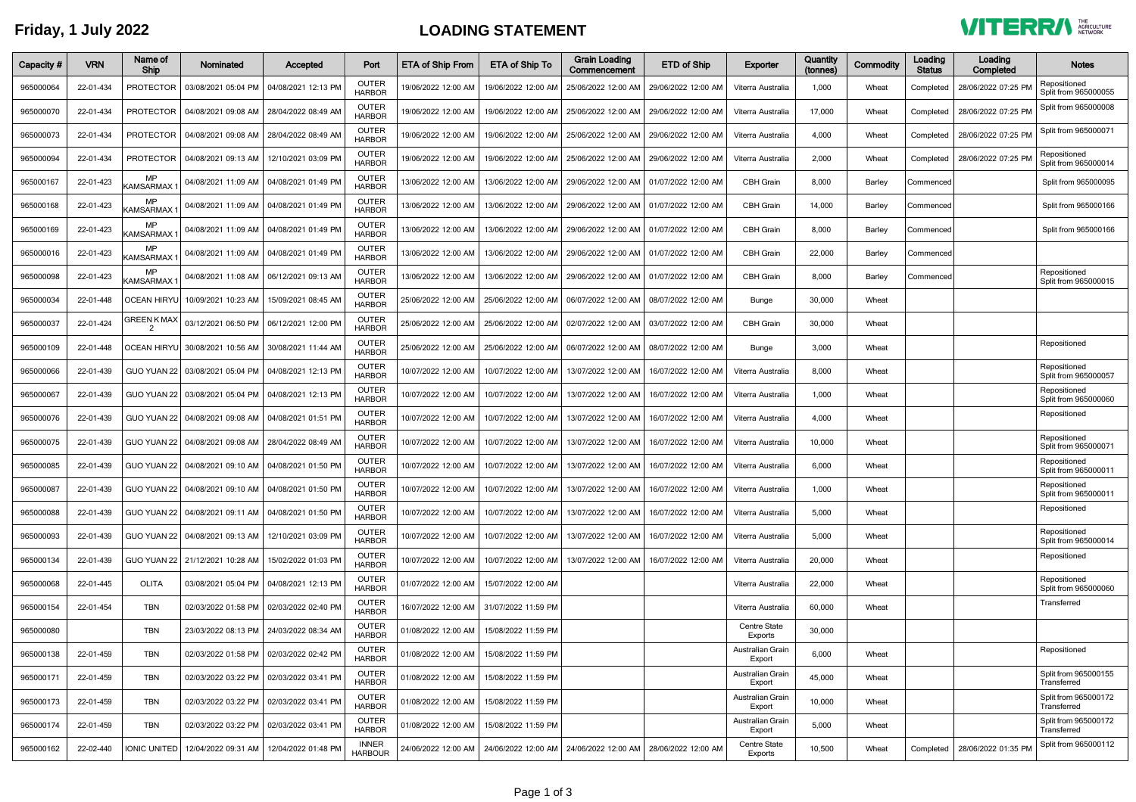## **Friday, 1 July 2022 LOADING STATEMENT**



| Capacity # | <b>VRN</b> | Name of<br>Ship                     | <b>Nominated</b>                                         | Accepted                                  | Port                           | ETA of Ship From    | <b>ETA of Ship To</b>                                           | <b>Grain Loading</b><br>Commencement      | <b>ETD of Ship</b>                                              | Exporter                       | Quantity<br>(tonnes) | Commodity | Loading<br><b>Status</b> | Loading<br>Completed | <b>Notes</b>                         |
|------------|------------|-------------------------------------|----------------------------------------------------------|-------------------------------------------|--------------------------------|---------------------|-----------------------------------------------------------------|-------------------------------------------|-----------------------------------------------------------------|--------------------------------|----------------------|-----------|--------------------------|----------------------|--------------------------------------|
| 965000064  | 22-01-434  | <b>PROTECTOR</b>                    | 03/08/2021 05:04 PM                                      | 04/08/2021 12:13 PM                       | <b>OUTER</b><br><b>HARBOR</b>  | 19/06/2022 12:00 AM | 19/06/2022 12:00 AM                                             | 25/06/2022 12:00 AM                       | 29/06/2022 12:00 AM                                             | Viterra Australia              | 1,000                | Wheat     | Completed                | 28/06/2022 07:25 PM  | Repositioned<br>Split from 965000055 |
| 965000070  | 22-01-434  | <b>PROTECTOR</b>                    | 04/08/2021 09:08 AM                                      | 28/04/2022 08:49 AM                       | <b>OUTER</b><br><b>HARBOR</b>  | 19/06/2022 12:00 AM | 19/06/2022 12:00 AM                                             | 25/06/2022 12:00 AM                       | 29/06/2022 12:00 AM                                             | Viterra Australia              | 17,000               | Wheat     | Completed                | 28/06/2022 07:25 PM  | Split from 965000008                 |
| 965000073  | 22-01-434  | <b>PROTECTOR</b>                    | 04/08/2021 09:08 AM                                      | 28/04/2022 08:49 AM                       | OUTER<br><b>HARBOR</b>         | 19/06/2022 12:00 AM | 19/06/2022 12:00 AM                                             | 25/06/2022 12:00 AM                       | 29/06/2022 12:00 AM                                             | Viterra Australia              | 4,000                | Wheat     | Completed                | 28/06/2022 07:25 PM  | Split from 965000071                 |
| 965000094  | 22-01-434  | <b>PROTECTOR</b>                    |                                                          | 04/08/2021 09:13 AM   12/10/2021 03:09 PM | <b>OUTER</b><br><b>HARBOR</b>  | 19/06/2022 12:00 AM |                                                                 | 19/06/2022 12:00 AM   25/06/2022 12:00 AM | 29/06/2022 12:00 AM                                             | Viterra Australia              | 2,000                | Wheat     | Completed                | 28/06/2022 07:25 PM  | Repositioned<br>Split from 965000014 |
| 965000167  | 22-01-423  | <b>MP</b><br>KAMSARMAX              | 04/08/2021 11:09 AM                                      | 04/08/2021 01:49 PM                       | <b>OUTER</b><br><b>HARBOR</b>  | 13/06/2022 12:00 AM | 13/06/2022 12:00 AM                                             | 29/06/2022 12:00 AM 01/07/2022 12:00 AM   |                                                                 | <b>CBH Grain</b>               | 8,000                | Barley    | Commenced                |                      | Split from 965000095                 |
| 965000168  | 22-01-423  | <b>MP</b><br><b>KAMSARMAX</b>       | 04/08/2021 11:09 AM                                      | 04/08/2021 01:49 PM                       | <b>OUTER</b><br><b>HARBOR</b>  | 13/06/2022 12:00 AM | 13/06/2022 12:00 AM                                             | 29/06/2022 12:00 AM   01/07/2022 12:00 AM |                                                                 | <b>CBH Grain</b>               | 14,000               | Barley    | Commenced                |                      | Split from 965000166                 |
| 965000169  | 22-01-423  | <b>MP</b><br>KAMSARMAX <sup>-</sup> | 04/08/2021 11:09 AM                                      | 04/08/2021 01:49 PM                       | <b>OUTER</b><br><b>HARBOR</b>  | 13/06/2022 12:00 AM | 13/06/2022 12:00 AM                                             | 29/06/2022 12:00 AM                       | 01/07/2022 12:00 AM                                             | <b>CBH Grain</b>               | 8,000                | Barley    | Commenced                |                      | Split from 965000166                 |
| 965000016  | 22-01-423  | <b>MP</b><br>KAMSARMAX <sup>.</sup> | 04/08/2021 11:09 AM                                      | 04/08/2021 01:49 PM                       | <b>OUTER</b><br><b>HARBOR</b>  | 13/06/2022 12:00 AM | 13/06/2022 12:00 AM                                             | 29/06/2022 12:00 AM                       | 01/07/2022 12:00 AM                                             | <b>CBH</b> Grain               | 22,000               | Barley    | Commenced                |                      |                                      |
| 965000098  | 22-01-423  | <b>MP</b><br><b>KAMSARMAX</b>       | 04/08/2021 11:08 AM                                      | 06/12/2021 09:13 AM                       | <b>OUTER</b><br><b>HARBOR</b>  | 13/06/2022 12:00 AM | 13/06/2022 12:00 AM                                             | 29/06/2022 12:00 AM                       | 01/07/2022 12:00 AM                                             | <b>CBH Grain</b>               | 8,000                | Barley    | Commenced                |                      | Repositioned<br>Split from 965000015 |
| 965000034  | 22-01-448  | OCEAN HIRYL                         | 10/09/2021 10:23 AM                                      | 15/09/2021 08:45 AM                       | <b>OUTER</b><br><b>HARBOR</b>  | 25/06/2022 12:00 AM |                                                                 | 25/06/2022 12:00 AM   06/07/2022 12:00 AM | 08/07/2022 12:00 AM                                             | <b>Bunge</b>                   | 30,000               | Wheat     |                          |                      |                                      |
| 965000037  | 22-01-424  | <b>GREEN K MAX</b>                  | 03/12/2021 06:50 PM                                      | 06/12/2021 12:00 PM                       | <b>OUTER</b><br><b>HARBOR</b>  | 25/06/2022 12:00 AM |                                                                 | 25/06/2022 12:00 AM   02/07/2022 12:00 AM | 03/07/2022 12:00 AM                                             | <b>CBH Grain</b>               | 30,000               | Wheat     |                          |                      |                                      |
| 965000109  | 22-01-448  |                                     | OCEAN HIRYU 30/08/2021 10:56 AM 30/08/2021 11:44 AM      |                                           | OUTER<br><b>HARBOR</b>         | 25/06/2022 12:00 AM | 25/06/2022 12:00 AM   06/07/2022 12:00 AM   08/07/2022 12:00 AM |                                           |                                                                 | Bunge                          | 3,000                | Wheat     |                          |                      | Repositioned                         |
| 965000066  | 22-01-439  |                                     | GUO YUAN 22   03/08/2021 05:04 PM                        | 04/08/2021 12:13 PM                       | <b>OUTER</b><br><b>HARBOR</b>  | 10/07/2022 12:00 AM | 10/07/2022 12:00 AM                                             | 13/07/2022 12:00 AM                       | 16/07/2022 12:00 AM                                             | Viterra Australia              | 8,000                | Wheat     |                          |                      | Repositioned<br>Split from 965000057 |
| 965000067  | 22-01-439  | GUO YUAN 22                         | 03/08/2021 05:04 PM                                      | 04/08/2021 12:13 PM                       | <b>OUTER</b><br><b>HARBOR</b>  | 10/07/2022 12:00 AM | 10/07/2022 12:00 AM                                             | 13/07/2022 12:00 AM                       | 16/07/2022 12:00 AM                                             | Viterra Australia              | 1,000                | Wheat     |                          |                      | Repositioned<br>Split from 965000060 |
| 965000076  | 22-01-439  | GUO YUAN 22                         | 04/08/2021 09:08 AM                                      | 04/08/2021 01:51 PM                       | OUTER<br><b>HARBOR</b>         | 10/07/2022 12:00 AM | 10/07/2022 12:00 AM                                             | 13/07/2022 12:00 AM                       | 16/07/2022 12:00 AM                                             | Viterra Australia              | 4,000                | Wheat     |                          |                      | Repositioned                         |
| 965000075  | 22-01-439  | GUO YUAN 22                         | 04/08/2021 09:08 AM                                      | 28/04/2022 08:49 AM                       | OUTER<br><b>HARBOR</b>         | 10/07/2022 12:00 AM | 10/07/2022 12:00 AM                                             | 13/07/2022 12:00 AM                       | 16/07/2022 12:00 AM                                             | Viterra Australia              | 10,000               | Wheat     |                          |                      | Repositioned<br>Split from 965000071 |
| 965000085  | 22-01-439  | GUO YUAN 22                         | 04/08/2021 09:10 AM                                      | 04/08/2021 01:50 PM                       | <b>OUTER</b><br><b>HARBOR</b>  | 10/07/2022 12:00 AM | 10/07/2022 12:00 AM                                             | 13/07/2022 12:00 AM                       | 16/07/2022 12:00 AM                                             | Viterra Australia              | 6,000                | Wheat     |                          |                      | Repositioned<br>Split from 965000011 |
| 965000087  | 22-01-439  |                                     | GUO YUAN 22   04/08/2021 09:10 AM   04/08/2021 01:50 PM  |                                           | <b>OUTER</b><br><b>HARBOR</b>  | 10/07/2022 12:00 AM | 10/07/2022 12:00 AM                                             | 13/07/2022 12:00 AM                       | 16/07/2022 12:00 AM                                             | Viterra Australia              | 1,000                | Wheat     |                          |                      | Repositioned<br>Split from 965000011 |
| 965000088  | 22-01-439  |                                     | GUO YUAN 22   04/08/2021 09:11 AM   04/08/2021 01:50 PM  |                                           | <b>OUTER</b><br><b>HARBOR</b>  | 10/07/2022 12:00 AM | 10/07/2022 12:00 AM                                             | 13/07/2022 12:00 AM                       | 16/07/2022 12:00 AM                                             | Viterra Australia              | 5,000                | Wheat     |                          |                      | Repositioned                         |
| 965000093  | 22-01-439  |                                     | GUO YUAN 22   04/08/2021 09:13 AM   12/10/2021 03:09 PM  |                                           | <b>OUTER</b><br><b>HARBOR</b>  | 10/07/2022 12:00 AM |                                                                 |                                           | 10/07/2022 12:00 AM   13/07/2022 12:00 AM   16/07/2022 12:00 AM | Viterra Australia              | 5,000                | Wheat     |                          |                      | Repositioned<br>Split from 965000014 |
| 965000134  | 22-01-439  |                                     | GUO YUAN 22   21/12/2021 10:28 AM                        | 15/02/2022 01:03 PM                       | <b>OUTER</b><br><b>HARBOR</b>  | 10/07/2022 12:00 AM | 10/07/2022 12:00 AM                                             | 13/07/2022 12:00 AM                       | 16/07/2022 12:00 AM                                             | Viterra Australia              | 20,000               | Wheat     |                          |                      | Repositioned                         |
| 965000068  | 22-01-445  | OLITA                               | 03/08/2021 05:04 PM                                      | 04/08/2021 12:13 PM                       | <b>OUTER</b><br><b>HARBOR</b>  | 01/07/2022 12:00 AM | 15/07/2022 12:00 AM                                             |                                           |                                                                 | Viterra Australia              | 22,000               | Wheat     |                          |                      | Repositioned<br>Split from 965000060 |
| 965000154  | 22-01-454  | <b>TBN</b>                          | 02/03/2022 01:58 PM                                      | 02/03/2022 02:40 PM                       | <b>OUTER</b><br><b>HARBOR</b>  | 16/07/2022 12:00 AM | 31/07/2022 11:59 PM                                             |                                           |                                                                 | Viterra Australia              | 60,000               | Wheat     |                          |                      | Transferred                          |
| 965000080  |            | <b>TBN</b>                          |                                                          | 23/03/2022 08:13 PM   24/03/2022 08:34 AM | OUTER<br><b>HARBOR</b>         | 01/08/2022 12:00 AM | 15/08/2022 11:59 PM                                             |                                           |                                                                 | <b>Centre State</b><br>Exports | 30,000               |           |                          |                      |                                      |
| 965000138  | 22-01-459  | <b>TBN</b>                          | 02/03/2022 01:58 PM                                      | 02/03/2022 02:42 PM                       | <b>OUTER</b><br><b>HARBOR</b>  | 01/08/2022 12:00 AM | 15/08/2022 11:59 PM                                             |                                           |                                                                 | Australian Grain<br>Export     | 6,000                | Wheat     |                          |                      | Repositioned                         |
| 965000171  | 22-01-459  | <b>TBN</b>                          | 02/03/2022 03:22 PM                                      | 02/03/2022 03:41 PM                       | <b>OUTER</b><br><b>HARBOR</b>  | 01/08/2022 12:00 AM | 15/08/2022 11:59 PM                                             |                                           |                                                                 | Australian Grain<br>Export     | 45,000               | Wheat     |                          |                      | Split from 965000155<br>Transferred  |
| 965000173  | 22-01-459  | <b>TBN</b>                          |                                                          | 02/03/2022 03:22 PM 02/03/2022 03:41 PM   | <b>OUTER</b><br><b>HARBOR</b>  | 01/08/2022 12:00 AM | 15/08/2022 11:59 PM                                             |                                           |                                                                 | Australian Grain<br>Export     | 10,000               | Wheat     |                          |                      | Split from 965000172<br>Transferred  |
| 965000174  | 22-01-459  | <b>TBN</b>                          |                                                          | 02/03/2022 03:22 PM   02/03/2022 03:41 PM | <b>OUTER</b><br><b>HARBOR</b>  | 01/08/2022 12:00 AM | 15/08/2022 11:59 PM                                             |                                           |                                                                 | Australian Grain<br>Export     | 5,000                | Wheat     |                          |                      | Split from 965000172<br>Transferred  |
| 965000162  | 22-02-440  |                                     | IONIC UNITED   12/04/2022 09:31 AM   12/04/2022 01:48 PM |                                           | <b>INNER</b><br><b>HARBOUR</b> |                     | 24/06/2022 12:00 AM   24/06/2022 12:00 AM   24/06/2022 12:00 AM |                                           | 28/06/2022 12:00 AM                                             | <b>Centre State</b><br>Exports | 10,500               | Wheat     | Completed                | 28/06/2022 01:35 PM  | Split from 965000112                 |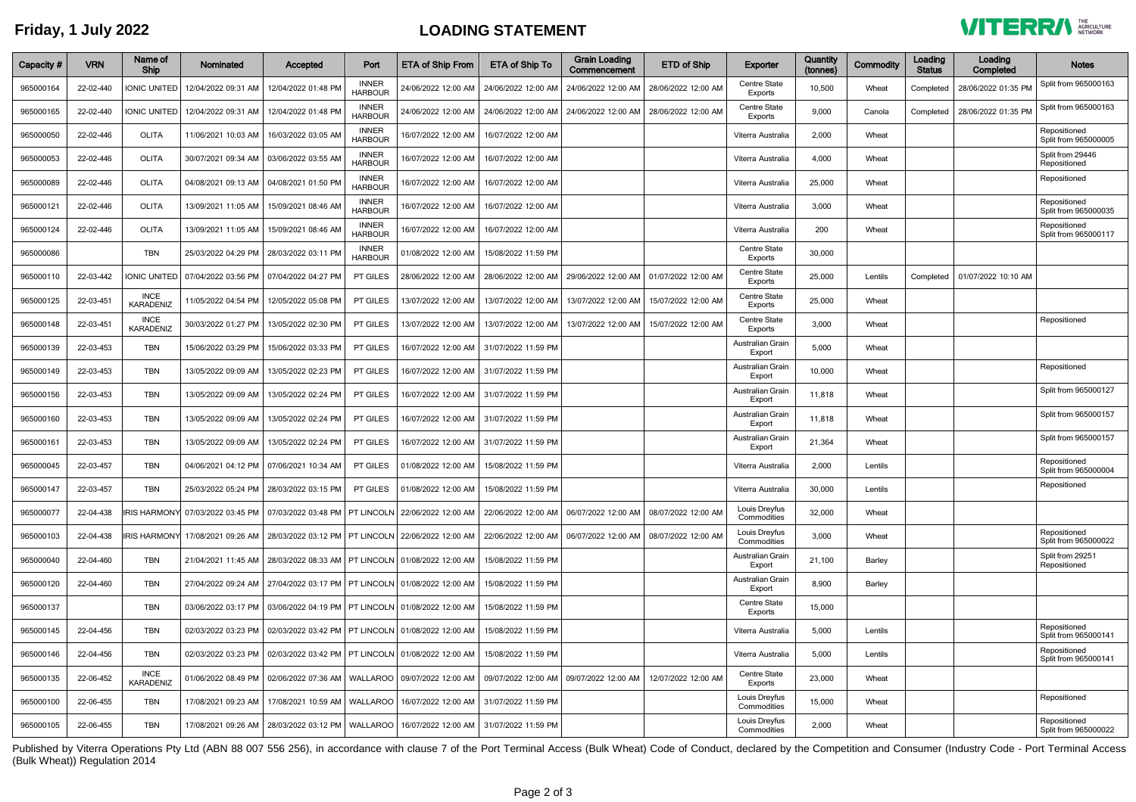## **Friday, 1 July 2022 LOADING STATEMENT**



| Capacity # | <b>VRN</b> | Name of<br>Ship                 | Nominated           | Accepted                                                                     | Port                           | <b>ETA of Ship From</b>                                                                                                                                                           | <b>ETA of Ship To</b>                     | <b>Grain Loading</b><br>Commencement      | ETD of Ship         | Exporter                       | Quantity<br>(tonnes) | Commodity | Loading<br><b>Status</b> | Loading<br>Completed | <b>Notes</b>                         |
|------------|------------|---------------------------------|---------------------|------------------------------------------------------------------------------|--------------------------------|-----------------------------------------------------------------------------------------------------------------------------------------------------------------------------------|-------------------------------------------|-------------------------------------------|---------------------|--------------------------------|----------------------|-----------|--------------------------|----------------------|--------------------------------------|
| 965000164  | 22-02-440  | <b>IONIC UNITED</b>             | 12/04/2022 09:31 AM | 12/04/2022 01:48 PM                                                          | <b>INNER</b><br><b>HARBOUR</b> | 24/06/2022 12:00 AM                                                                                                                                                               | 24/06/2022 12:00 AM                       | 24/06/2022 12:00 AM                       | 28/06/2022 12:00 AM | Centre State<br>Exports        | 10,500               | Wheat     | Completed                | 28/06/2022 01:35 PM  | Split from 965000163                 |
| 965000165  | 22-02-440  | <b>IONIC UNITED</b>             | 12/04/2022 09:31 AM | 12/04/2022 01:48 PM                                                          | <b>INNER</b><br><b>HARBOUR</b> | 24/06/2022 12:00 AM                                                                                                                                                               | 24/06/2022 12:00 AM                       | 24/06/2022 12:00 AM                       | 28/06/2022 12:00 AM | <b>Centre State</b><br>Exports | 9,000                | Canola    | Completed                | 28/06/2022 01:35 PM  | Split from 965000163                 |
| 965000050  | 22-02-446  | <b>OLITA</b>                    | 11/06/2021 10:03 AM | 16/03/2022 03:05 AM                                                          | <b>INNER</b><br><b>HARBOUR</b> | 16/07/2022 12:00 AM                                                                                                                                                               | 16/07/2022 12:00 AM                       |                                           |                     | Viterra Australia              | 2,000                | Wheat     |                          |                      | Repositioned<br>Split from 965000005 |
| 965000053  | 22-02-446  | <b>OLITA</b>                    |                     | 30/07/2021 09:34 AM 03/06/2022 03:55 AM                                      | <b>INNER</b><br><b>HARBOUF</b> | 16/07/2022 12:00 AM                                                                                                                                                               | 16/07/2022 12:00 AM                       |                                           |                     | Viterra Australia              | 4,000                | Wheat     |                          |                      | Split from 29446<br>Repositioned     |
| 965000089  | 22-02-446  | <b>OLITA</b>                    |                     | 04/08/2021 09:13 AM 04/08/2021 01:50 PM                                      | <b>INNER</b><br><b>HARBOUR</b> | 16/07/2022 12:00 AM                                                                                                                                                               | 16/07/2022 12:00 AM                       |                                           |                     | Viterra Australia              | 25,000               | Wheat     |                          |                      | Repositioned                         |
| 965000121  | 22-02-446  | <b>OLITA</b>                    | 13/09/2021 11:05 AM | 15/09/2021 08:46 AM                                                          | <b>INNER</b><br><b>HARBOUR</b> | 16/07/2022 12:00 AM                                                                                                                                                               | 16/07/2022 12:00 AM                       |                                           |                     | Viterra Australia              | 3,000                | Wheat     |                          |                      | Repositioned<br>Split from 965000035 |
| 965000124  | 22-02-446  | <b>OLITA</b>                    | 13/09/2021 11:05 AM | 15/09/2021 08:46 AM                                                          | <b>INNER</b><br><b>HARBOUR</b> | 16/07/2022 12:00 AM                                                                                                                                                               | 16/07/2022 12:00 AM                       |                                           |                     | Viterra Australia              | 200                  | Wheat     |                          |                      | Repositioned<br>Split from 965000117 |
| 965000086  |            | <b>TBN</b>                      | 25/03/2022 04:29 PM | 28/03/2022 03:11 PM                                                          | <b>INNER</b><br><b>HARBOUR</b> | 01/08/2022 12:00 AM                                                                                                                                                               | 15/08/2022 11:59 PM                       |                                           |                     | <b>Centre State</b><br>Exports | 30,000               |           |                          |                      |                                      |
| 965000110  | 22-03-442  | <b>IONIC UNITED</b>             |                     | 07/04/2022 03:56 PM 07/04/2022 04:27 PM                                      | PT GILES                       | 28/06/2022 12:00 AM                                                                                                                                                               | 28/06/2022 12:00 AM                       | 29/06/2022 12:00 AM                       | 01/07/2022 12:00 AM | <b>Centre State</b><br>Exports | 25,000               | Lentils   | Completed                | 01/07/2022 10:10 AM  |                                      |
| 965000125  | 22-03-451  | <b>INCE</b><br>KARADENIZ        | 11/05/2022 04:54 PM | 12/05/2022 05:08 PM                                                          | PT GILES                       | 13/07/2022 12:00 AM                                                                                                                                                               | 13/07/2022 12:00 AM                       | 13/07/2022 12:00 AM                       | 15/07/2022 12:00 AM | <b>Centre State</b><br>Exports | 25,000               | Wheat     |                          |                      |                                      |
| 965000148  | 22-03-451  | <b>INCE</b><br><b>KARADENIZ</b> |                     | 30/03/2022 01:27 PM   13/05/2022 02:30 PM                                    | PT GILES                       | 13/07/2022 12:00 AM                                                                                                                                                               |                                           | 13/07/2022 12:00 AM   13/07/2022 12:00 AM | 15/07/2022 12:00 AM | <b>Centre State</b><br>Exports | 3,000                | Wheat     |                          |                      | Repositioned                         |
| 965000139  | 22-03-453  | <b>TBN</b>                      | 15/06/2022 03:29 PM | 15/06/2022 03:33 PM                                                          | PT GILES                       |                                                                                                                                                                                   | 16/07/2022 12:00 AM   31/07/2022 11:59 PM |                                           |                     | Australian Grain<br>Export     | 5,000                | Wheat     |                          |                      |                                      |
| 965000149  | 22-03-453  | <b>TBN</b>                      | 13/05/2022 09:09 AM | 13/05/2022 02:23 PM                                                          | PT GILES                       | 16/07/2022 12:00 AM                                                                                                                                                               | 31/07/2022 11:59 PM                       |                                           |                     | Australian Grain<br>Export     | 10,000               | Wheat     |                          |                      | Repositioned                         |
| 965000156  | 22-03-453  | <b>TBN</b>                      | 13/05/2022 09:09 AM | 13/05/2022 02:24 PM                                                          | <b>PT GILES</b>                | 16/07/2022 12:00 AM                                                                                                                                                               | 31/07/2022 11:59 PM                       |                                           |                     | Australian Grain<br>Export     | 11,818               | Wheat     |                          |                      | Split from 965000127                 |
| 965000160  | 22-03-453  | <b>TBN</b>                      | 13/05/2022 09:09 AM | 13/05/2022 02:24 PM                                                          | PT GILES                       | 16/07/2022 12:00 AM                                                                                                                                                               | 31/07/2022 11:59 PM                       |                                           |                     | Australian Grain<br>Export     | 11,818               | Wheat     |                          |                      | Split from 965000157                 |
| 965000161  | 22-03-453  | <b>TBN</b>                      | 13/05/2022 09:09 AM | 13/05/2022 02:24 PM                                                          | PT GILES                       | 16/07/2022 12:00 AM                                                                                                                                                               | 31/07/2022 11:59 PM                       |                                           |                     | Australian Grain<br>Export     | 21,364               | Wheat     |                          |                      | Split from 965000157                 |
| 965000045  | 22-03-457  | <b>TBN</b>                      | 04/06/2021 04:12 PM | 07/06/2021 10:34 AM                                                          | PT GILES                       | 01/08/2022 12:00 AM                                                                                                                                                               | 15/08/2022 11:59 PM                       |                                           |                     | Viterra Australia              | 2,000                | Lentils   |                          |                      | Repositioned<br>Split from 965000004 |
| 965000147  | 22-03-457  | <b>TBN</b>                      |                     | 25/03/2022 05:24 PM   28/03/2022 03:15 PM                                    | PT GILES                       | 01/08/2022 12:00 AM                                                                                                                                                               | 15/08/2022 11:59 PM                       |                                           |                     | Viterra Australia              | 30,000               | Lentils   |                          |                      | Repositioned                         |
| 965000077  | 22-04-438  |                                 |                     |                                                                              |                                | IRIS HARMONY  07/03/2022 03:45 PM   07/03/2022 03:48 PM   PT LINCOLN   22/06/2022 12:00 AM   22/06/2022 12:00 AM   06/07/2022 12:00 AM   08/07/2022 12:00 AM                      |                                           |                                           |                     | Louis Dreyfus<br>Commodities   | 32,000               | Wheat     |                          |                      |                                      |
| 965000103  | 22-04-438  |                                 |                     |                                                                              |                                | IRIS HARMONY 17/08/2021 09:26 AM   28/03/2022 03:12 PM   PT LINCOLN   22/06/2022 12:00 AM   22/06/2022 12:00 AM   06/07/2022 12:00 AM   08/07/2022 12:00 AM   08/07/2022 12:00 AM |                                           |                                           |                     | Louis Dreyfus<br>Commodities   | 3,000                | Wheat     |                          |                      | Repositioned<br>Split from 965000022 |
| 965000040  | 22-04-460  | <b>TBN</b>                      |                     | 21/04/2021 11:45 AM   28/03/2022 08:33 AM   PT LINCOLN   01/08/2022 12:00 AM |                                |                                                                                                                                                                                   | 15/08/2022 11:59 PM                       |                                           |                     | Australian Grain<br>Export     | 21,100               | Barley    |                          |                      | Split from 29251<br>Repositioned     |
| 965000120  | 22-04-460  | <b>TBN</b>                      |                     | 27/04/2022 09:24 AM 27/04/2022 03:17 PM PT LINCOLN 01/08/2022 12:00 AM       |                                |                                                                                                                                                                                   | 15/08/2022 11:59 PM                       |                                           |                     | Australian Grain<br>Export     | 8,900                | Barley    |                          |                      |                                      |
| 965000137  |            | <b>TBN</b>                      |                     | 03/06/2022 03:17 PM 03/06/2022 04:19 PM PT LINCOLN 01/08/2022 12:00 AM       |                                |                                                                                                                                                                                   | 15/08/2022 11:59 PM                       |                                           |                     | <b>Centre State</b><br>Exports | 15,000               |           |                          |                      |                                      |
| 965000145  | 22-04-456  | <b>TBN</b>                      |                     | 02/03/2022 03:23 PM   02/03/2022 03:42 PM   PT LINCOLN   01/08/2022 12:00 AM |                                |                                                                                                                                                                                   | 15/08/2022 11:59 PM                       |                                           |                     | Viterra Australia              | 5,000                | Lentils   |                          |                      | Repositioned<br>Split from 965000141 |
| 965000146  | 22-04-456  | <b>TBN</b>                      | 02/03/2022 03:23 PM | 02/03/2022 03:42 PM   PT LINCOLN 01/08/2022 12:00 AM                         |                                |                                                                                                                                                                                   | 15/08/2022 11:59 PM                       |                                           |                     | Viterra Australia              | 5,000                | Lentils   |                          |                      | Repositioned<br>Split from 965000141 |
| 965000135  | 22-06-452  | <b>INCE</b><br>KARADENIZ        |                     | 01/06/2022 08:49 PM   02/06/2022 07:36 AM   WALLAROO   09/07/2022 12:00 AM   |                                |                                                                                                                                                                                   | 09/07/2022 12:00 AM 09/07/2022 12:00 AM   |                                           | 12/07/2022 12:00 AM | <b>Centre State</b><br>Exports | 23,000               | Wheat     |                          |                      |                                      |
| 965000100  | 22-06-455  | <b>TBN</b>                      |                     |                                                                              |                                | 17/08/2021 09:23 AM   17/08/2021 10:59 AM   WALLAROO   16/07/2022 12:00 AM   31/07/2022 11:59 PM                                                                                  |                                           |                                           |                     | Louis Dreyfus<br>Commodities   | 15,000               | Wheat     |                          |                      | Repositioned                         |
| 965000105  | 22-06-455  | <b>TBN</b>                      |                     |                                                                              |                                | 17/08/2021 09:26 AM   28/03/2022 03:12 PM   WALLAROO   16/07/2022 12:00 AM   31/07/2022 11:59 PM                                                                                  |                                           |                                           |                     | Louis Dreyfus<br>Commodities   | 2,000                | Wheat     |                          |                      | Repositioned<br>Split from 965000022 |

Published by Viterra Operations Pty Ltd (ABN 88 007 556 256), in accordance with clause 7 of the Port Terminal Access (Bulk Wheat) Code of Conduct, declared by the Competition and Consumer (Industry Code - Port Terminal Ac (Bulk Wheat)) Regulation 2014